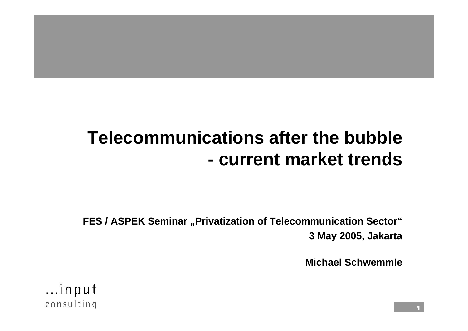#### **Telecommunications after the bubble- current market trends**

**FES / ASPEK Seminar "Privatization of Telecommunication Sector" 3 May 2005, Jakarta**

**Michael Schwemmle**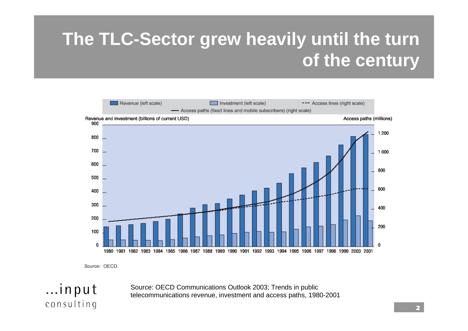# **The TLC-Sector grew heavily until the turn of the century**



Source: OECD.

...input

consulting

Source: OECD Communications Outlook 2003; Trends in public telecommunications revenue, investment and access paths, 1980-2001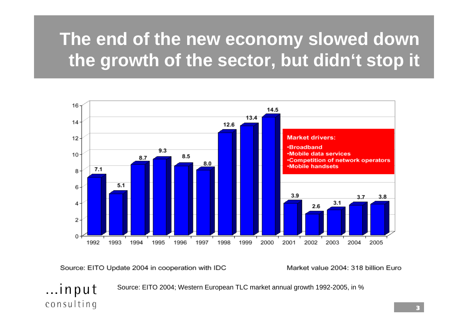# **The end of the new economy slowed down the growth of the sector, but didn't stop it**



Source: EITO Update 2004 in cooperation with IDC

Market value 2004: 318 billion Euro

...input Source: EITO 2004; Western European TLC market annual growth 1992-2005, in %

consulting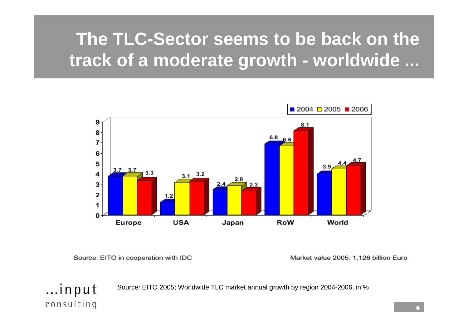# **The TLC-Sector seems to be back on the track of a moderate growth - worldwide ...**



Source: EITO in cooperation with IDC

...input

consulting

Market value 2005: 1,126 billion Euro

Source: EITO 2005; Worldwide TLC market annual growth by region 2004-2006, in %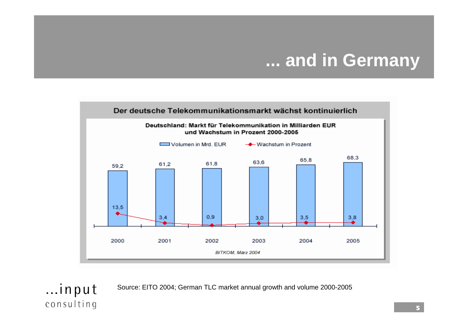#### **... and in Germany**



Source: EITO 2004; German TLC market annual growth and volume 2000-2005

consulting

...input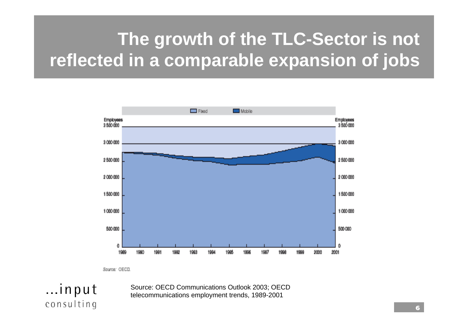# **The growth of the TLC-Sector is not reflected in a comparable expansion of jobs**



Source: OECD

...input

consulting

Source: OECD Communications Outlook 2003; OECD telecommunications employment trends, 1989-2001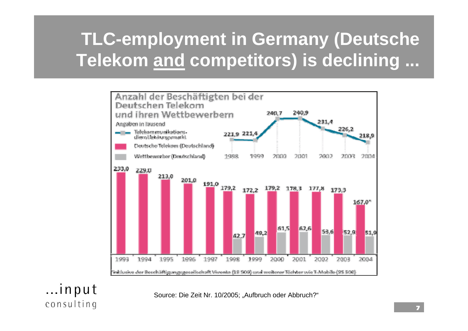# **TLC-employment in Germany (Deutsche Telekom and competitors) is declining ...**



...input consulting

Source: Die Zeit Nr. 10/2005; "Aufbruch oder Abbruch?"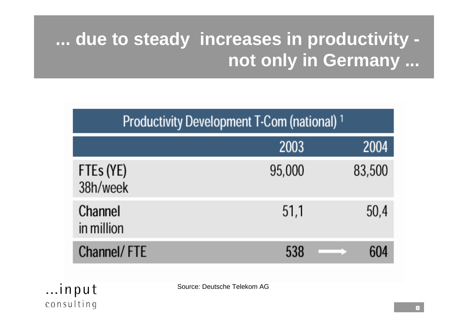# **... due to steady increases in productivity not only in Germany ...**

| Productivity Development T-Com (national) <sup>1</sup> |        |        |  |  |
|--------------------------------------------------------|--------|--------|--|--|
|                                                        | 2003   | 2004   |  |  |
| FTEs (YE)<br>38h/week                                  | 95,000 | 83,500 |  |  |
| Channel<br>in million                                  | 51,1   | 50,4   |  |  |
| Channel/FTE                                            | 538    |        |  |  |

...input consulting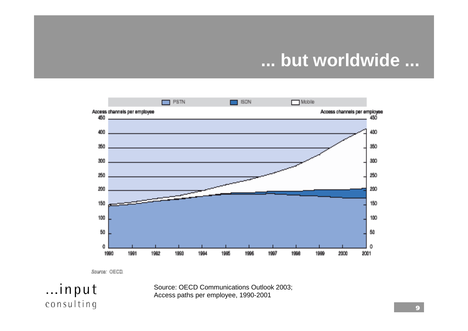#### **... but worldwide ...**



Saurae: OECD.

...input

consulting

Source: OECD Communications Outlook 2003; Access paths per employee, 1990-2001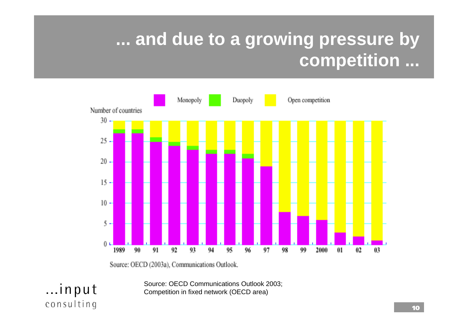## **... and due to a growing pressure by competition ...**



Source: OECD (2003a), Communications Outlook.

...input

consulting

Source: OECD Communications Outlook 2003; Competition in fixed network (OECD area)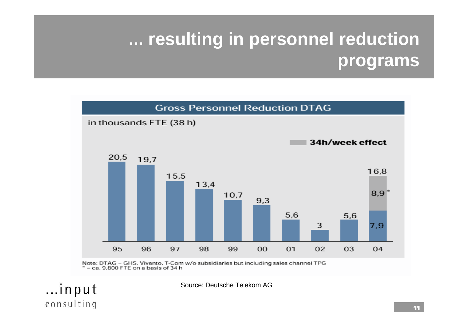# **... resulting in personnel reduction programs**



Note: DTAG = GHS, Vivento, T-Com w/o subsidiaries but including sales channel TPG  $*$  = ca. 9.800 FTE on a basis of 34 h

...input

consulting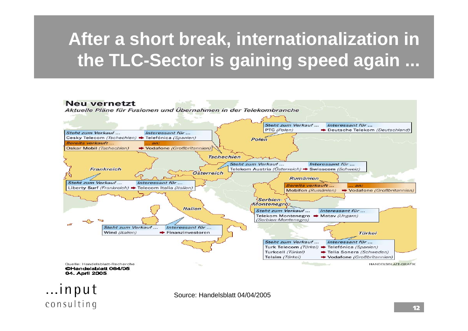# **After a short break, internationalization in the TLC-Sector is gaining speed again ...**



04. April 2005

Source: Handelsblatt 04/04/2005

consulting

...input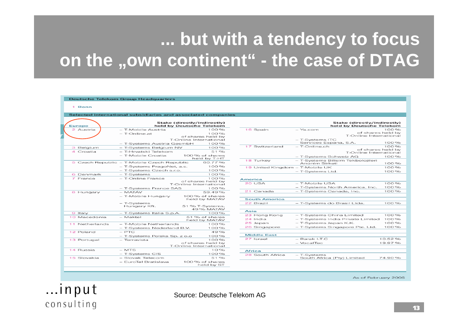## **... but with a tendency to focus on the "own continent" - the case of DTAG**

#### Deutsche Telekom Group Headquarter

1 Bonn

Selected international subsidiaries and associated companies

| Europe         | Stake (directly/indirectly)<br>held by Deutsche Telekom |                                             |  |
|----------------|---------------------------------------------------------|---------------------------------------------|--|
| 2 Austria      | - T-Mobile Austria                                      | 100%                                        |  |
|                | - T-Online.at                                           | 100%                                        |  |
|                |                                                         | of shares held by                           |  |
|                |                                                         | T-Online International                      |  |
|                | - T-Systems Austria GesmbH                              | 100%                                        |  |
| 3 Belgium      | - T-Systems Belaium NV                                  | 100%                                        |  |
| 4 Croatia      | - T-Hrvatski Telekom                                    | 51%                                         |  |
|                | - T-Mobile Croatia                                      | 100 % of shares<br>held by T-HT             |  |
|                | 5 Czech Republic - T-Mobile Czech Republic              | 60.77%                                      |  |
|                | - T-Systems PragoNet, a.s.                              | 100%                                        |  |
|                | - T-Systems Czech s.r.o.                                | 100%                                        |  |
| 6 Denmark      | - T-Systems                                             | 100%                                        |  |
| 7 Erance       | - T-Online France                                       | 100%                                        |  |
|                |                                                         | of shares held by<br>T-Online International |  |
|                |                                                         | 100%                                        |  |
|                | - T-Systems France SAS<br>$-$ MATÁV                     | 59.49%                                      |  |
| 8 Hungary      |                                                         |                                             |  |
|                | - T-Mobile Hungary                                      | 100 % of shares<br>held by MATÁV            |  |
|                | - T-Systems<br>Hungary Kft.                             |                                             |  |
|                |                                                         | 51 % T-Systems,<br>49 % MATÁV               |  |
| 9 Italy        | - T-Systems Italia S.p.A.                               | 100%                                        |  |
| 10 Macedonia   | - Maktel                                                | 51 % of shares                              |  |
|                |                                                         | held by MATÁV                               |  |
| 11 Netherlands | - T-Mobile Netherlands                                  | 100%                                        |  |
|                | - T-Systems Nederland B.V.                              | 100%                                        |  |
| 12 Poland      | $-$ PTC                                                 | 49%                                         |  |
|                | - T-Systems Polska Sp. z o.o                            | 100%                                        |  |
| 13 Portugal    | - Terravista                                            | 100%                                        |  |
|                |                                                         | of shares held by                           |  |
|                | $-$ MTS                                                 | T-Online International                      |  |
| 14 Russia      |                                                         | 10%                                         |  |
|                | - T-Systems CIS                                         | 100%                                        |  |
| 15 Slovakia    | - Slovak Telecom                                        | 51%                                         |  |
|                | - EuroTel Bratislava                                    | 100 % of shares<br>held by ST               |  |
|                |                                                         |                                             |  |

|         |                                 | Stake (directly/indirectly)              |        |
|---------|---------------------------------|------------------------------------------|--------|
|         |                                 | held by Deutsche Telekom                 |        |
|         | 16 Spain                        | – Yalcom                                 | 100%   |
|         |                                 | of shares held by                        |        |
|         |                                 | T-Online International                   |        |
|         |                                 | - T-Systems ITC<br>Services Espana, S.A. | 100%   |
|         | 17 Switzerland                  | - T-Online.ch                            | 100%   |
|         |                                 | of shares held by                        |        |
|         |                                 | T-Online International                   |        |
|         |                                 | - T-Systems Schweiz AG                   | 100%   |
|         | 18 Turkev                       | - T-Systems Bilisim Tekbolojileri        |        |
|         |                                 | Anonim Sirketi                           | 100%   |
|         | 19 United Kingdom - T-Mobile UK |                                          | 100%   |
|         |                                 | - T-Systems Ltd.                         | 100%   |
|         |                                 |                                          |        |
| America |                                 |                                          |        |
| 20 USA  |                                 | - T-Mobile USA                           | 100%   |
|         |                                 | - T-Systems North America, Inc.          | 100%   |
|         | 21 Canada                       | - T-Systems Canada, Inc.                 | 100%   |
|         |                                 |                                          |        |
|         | <b>South America</b>            |                                          |        |
|         | 22 Brazil                       | - T-Systems do Brasil Ltda.              | 100%   |
|         |                                 |                                          |        |
| $A$ sia |                                 |                                          |        |
|         | 23 Hong Kong                    | - T-Systems China Limited                | 100%   |
|         | 24 India                        | - T-Systems India Private Limited        | 100%   |
|         | 25 Japan                        | - T-Systems Japan K.K.                   | 100%   |
|         | 26 Singapore                    | - T-Systems Singapore Pte. Ltd.          | 100%   |
|         |                                 |                                          |        |
|         | <b>Middle East</b>              |                                          |        |
|         | 27 Israel                       | – Barak LT.C                             | 10.52% |
|         |                                 | - VocalTec                               | 19.97% |
|         |                                 |                                          |        |
| Africa  |                                 |                                          |        |
|         | 28 South Africa                 | - T-Svstems                              |        |
|         |                                 | South Africa (Pty) Limited               | 74.90% |
|         |                                 |                                          |        |

As of February 2005

#### ...input consulting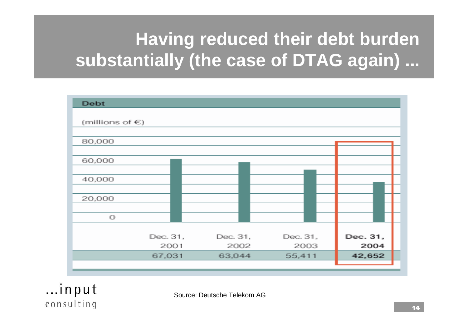# **Having reduced their debt burden substantially (the case of DTAG again) ...**

| <b>Debt</b>          |          |          |          |          |
|----------------------|----------|----------|----------|----------|
| (millions of $\in$ ) |          |          |          |          |
| 80,000               |          |          |          |          |
|                      |          |          |          |          |
| 60,000               |          |          |          |          |
| 40,000               |          |          |          |          |
| 20,000               |          |          |          |          |
|                      |          |          |          |          |
| $\bigcirc$           |          |          |          |          |
|                      | Dec. 31, | Dec. 31, | Dec. 31, | Dec. 31, |
|                      | 2001     | 2002     | 2003     | 2004     |
|                      | 67,031   | 63,044   | 55,411   | 42,652   |
|                      |          |          |          |          |

 $...$ input consulting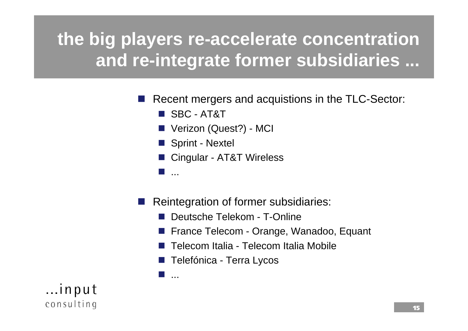# **the big players re-accelerate concentration and re-integrate former subsidiaries ...**

- in.<br>Ma Recent mergers and acquistions in the TLC-Sector:
	- SBC AT&T
	- Verizon (Quest?) MCI
	- Sprint Nextel
	- Cingular AT&T Wireless
	- r. ...

r.

...

- in.<br>Ma Reintegration of former subsidiaries:
	- F. Deutsche Telekom - T-Online
	- F. France Telecom - Orange, Wanadoo, Equant
	- F. Telecom Italia - Telecom Italia Mobile
	- F. Telefónica - Terra Lycos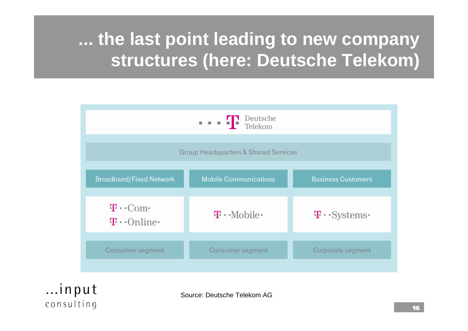## **... the last point leading to new company structures (here: Deutsche Telekom)**



 $...$ input consulting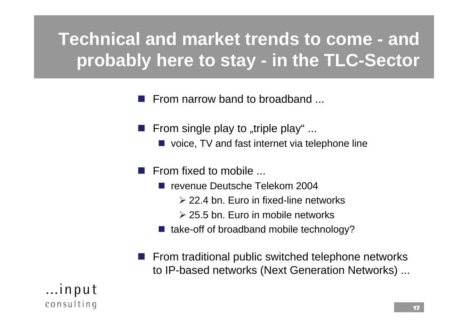# **Technical and market trends to come - and probably here to stay - in the TLC-Sector**

in.<br>Ma From narrow band to broadband ...

- in.<br>Ma From single play to "triple play"  $\ldots$ 
	- **D** voice, TV and fast internet via telephone line
- in.<br>Prim From fixed to mobile ...
	- revenue Deutsche Telekom 2004
		- ¾ 22.4 bn. Euro in fixed-line networks
		- ¾ 25.5 bn. Euro in mobile networks
	- take-off of broadband mobile technology?
- From traditional public switched telephone networks to IP-based networks (Next Generation Networks) ...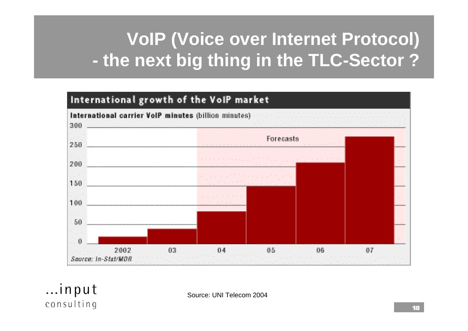# **VoIP (Voice over Internet Protocol) the next big thing in the TLC-Sector ?**



Source: UNI Telecom 2004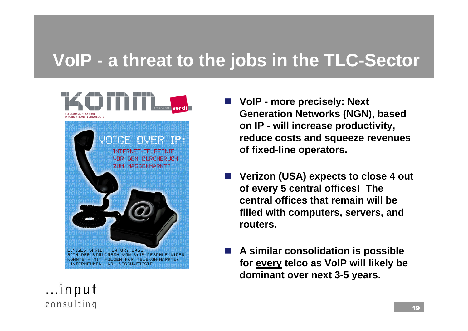#### **VoIP - a threat to the jobs in the TLC-Sector**



- F. **VoIP - more precisely: Next Generation Networks (NGN), based on IP - will increase productivity, reduce costs and squeeze revenues of fixed-line operators.**
- F. **Verizon (USA) expects to close 4 out of every 5 central offices! The central offices that remain will be filled with computers, servers, and routers.**
- $\mathcal{L}^{\text{max}}$  **A similar consolidation is possible for every telco as VoIP will likely be dominant over next 3-5 years.**